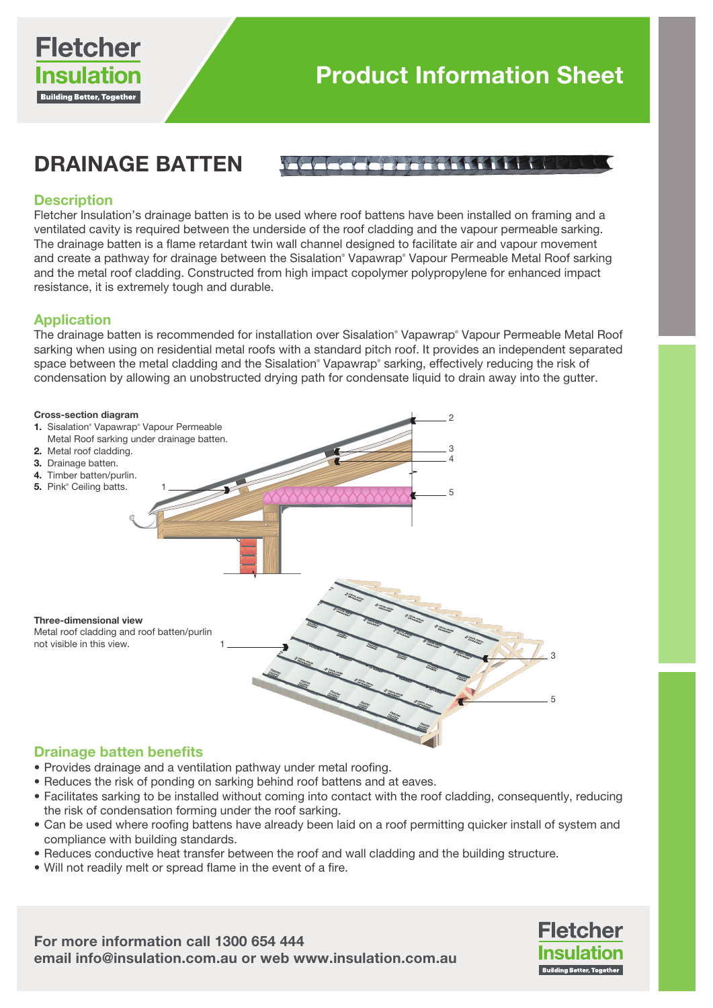

# DRAINAGE BATTEN

# Anaganari fi Ministr

# **Description**

Fletcher Insulation's drainage batten is to be used where roof battens have been installed on framing and a ventilated cavity is required between the underside of the roof cladding and the vapour permeable sarking. The drainage batten is a flame retardant twin wall channel designed to facilitate air and vapour movement and create a pathway for drainage between the Sisalation® Vapawrap® Vapour Permeable Metal Roof sarking and the metal roof cladding. Constructed from high impact copolymer polypropylene for enhanced impact resistance, it is extremely tough and durable.

### Application

The drainage batten is recommended for installation over Sisalation® Vapawrap® Vapour Permeable Metal Roof sarking when using on residential metal roofs with a standard pitch roof. It provides an independent separated space between the metal cladding and the Sisalation® Vapawrap® sarking, effectively reducing the risk of condensation by allowing an unobstructed drying path for condensate liquid to drain away into the gutter.



### Drainage batten benefits

- Provides drainage and a ventilation pathway under metal roofing.
- Reduces the risk of ponding on sarking behind roof battens and at eaves.
- Facilitates sarking to be installed without coming into contact with the roof cladding, consequently, reducing the risk of condensation forming under the roof sarking.
- Can be used where roofing battens have already been laid on a roof permitting quicker install of system and compliance with building standards.
- Reduces conductive heat transfer between the roof and wall cladding and the building structure.
- Will not readily melt or spread flame in the event of a fire.

For more information call 1300 654 444 email info@insulation.com.au or web www.insulation.com.au